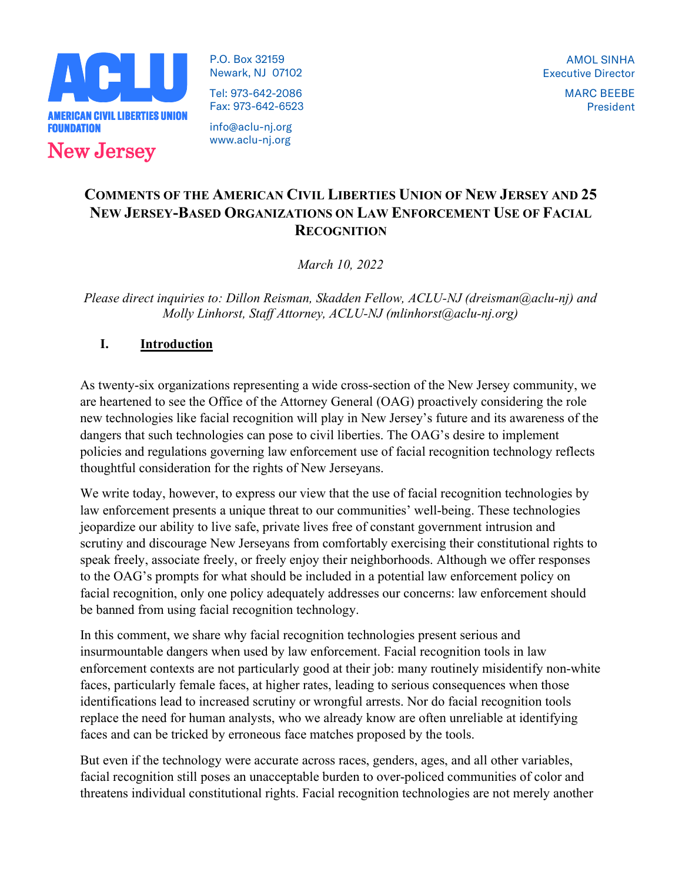

P.O. Box 32159 Newark, NJ 07102 Tel: 973-642-2086 Fax: 973-642-6523

info@aclu-nj.org www.aclu-nj.org

# COMMENTS OF THE AMERICAN CIVIL LIBERTIES UNION OF NEW JERSEY AND 25 NEW JERSEY-BASED ORGANIZATIONS ON LAW ENFORCEMENT USE OF FACIAL **RECOGNITION**

March 10, 2022

Please direct inquiries to: Dillon Reisman, Skadden Fellow, ACLU-NJ (dreisman@aclu-nj) and Molly Linhorst, Staff Attorney, ACLU-NJ (mlinhorst@aclu-nj.org)

## I. Introduction

As twenty-six organizations representing a wide cross-section of the New Jersey community, we are heartened to see the Office of the Attorney General (OAG) proactively considering the role new technologies like facial recognition will play in New Jersey's future and its awareness of the dangers that such technologies can pose to civil liberties. The OAG's desire to implement policies and regulations governing law enforcement use of facial recognition technology reflects thoughtful consideration for the rights of New Jerseyans.

We write today, however, to express our view that the use of facial recognition technologies by law enforcement presents a unique threat to our communities' well-being. These technologies jeopardize our ability to live safe, private lives free of constant government intrusion and scrutiny and discourage New Jerseyans from comfortably exercising their constitutional rights to speak freely, associate freely, or freely enjoy their neighborhoods. Although we offer responses to the OAG's prompts for what should be included in a potential law enforcement policy on facial recognition, only one policy adequately addresses our concerns: law enforcement should be banned from using facial recognition technology.

In this comment, we share why facial recognition technologies present serious and insurmountable dangers when used by law enforcement. Facial recognition tools in law enforcement contexts are not particularly good at their job: many routinely misidentify non-white faces, particularly female faces, at higher rates, leading to serious consequences when those identifications lead to increased scrutiny or wrongful arrests. Nor do facial recognition tools replace the need for human analysts, who we already know are often unreliable at identifying faces and can be tricked by erroneous face matches proposed by the tools.

But even if the technology were accurate across races, genders, ages, and all other variables, facial recognition still poses an unacceptable burden to over-policed communities of color and threatens individual constitutional rights. Facial recognition technologies are not merely another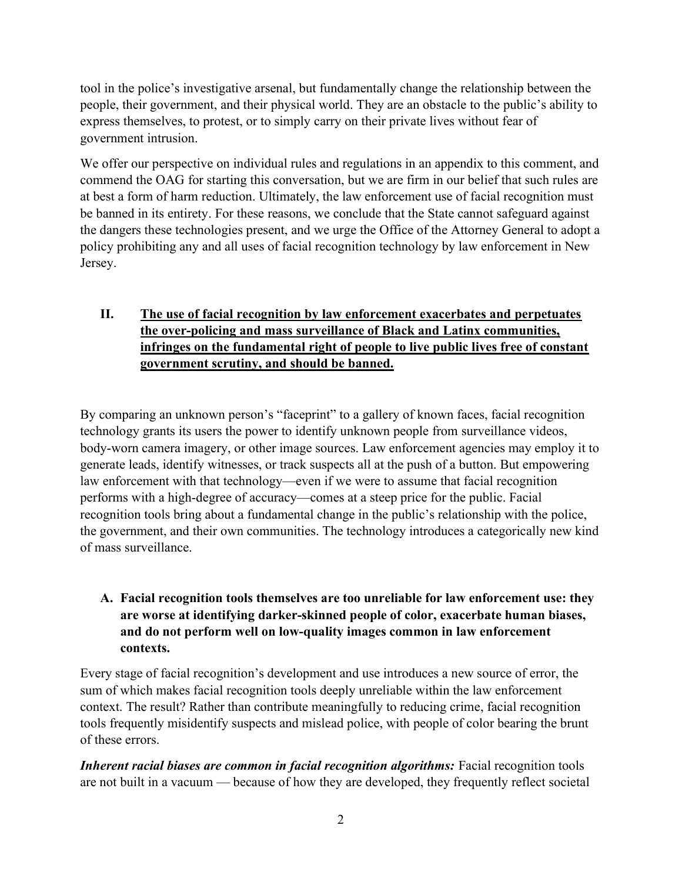tool in the police's investigative arsenal, but fundamentally change the relationship between the people, their government, and their physical world. They are an obstacle to the public's ability to express themselves, to protest, or to simply carry on their private lives without fear of government intrusion.

We offer our perspective on individual rules and regulations in an appendix to this comment, and commend the OAG for starting this conversation, but we are firm in our belief that such rules are at best a form of harm reduction. Ultimately, the law enforcement use of facial recognition must be banned in its entirety. For these reasons, we conclude that the State cannot safeguard against the dangers these technologies present, and we urge the Office of the Attorney General to adopt a policy prohibiting any and all uses of facial recognition technology by law enforcement in New Jersey.

# II. The use of facial recognition by law enforcement exacerbates and perpetuates the over-policing and mass surveillance of Black and Latinx communities, infringes on the fundamental right of people to live public lives free of constant government scrutiny, and should be banned.

By comparing an unknown person's "faceprint" to a gallery of known faces, facial recognition technology grants its users the power to identify unknown people from surveillance videos, body-worn camera imagery, or other image sources. Law enforcement agencies may employ it to generate leads, identify witnesses, or track suspects all at the push of a button. But empowering law enforcement with that technology—even if we were to assume that facial recognition performs with a high-degree of accuracy—comes at a steep price for the public. Facial recognition tools bring about a fundamental change in the public's relationship with the police, the government, and their own communities. The technology introduces a categorically new kind of mass surveillance.

# A. Facial recognition tools themselves are too unreliable for law enforcement use: they are worse at identifying darker-skinned people of color, exacerbate human biases, and do not perform well on low-quality images common in law enforcement contexts.

Every stage of facial recognition's development and use introduces a new source of error, the sum of which makes facial recognition tools deeply unreliable within the law enforcement context. The result? Rather than contribute meaningfully to reducing crime, facial recognition tools frequently misidentify suspects and mislead police, with people of color bearing the brunt of these errors.

Inherent racial biases are common in facial recognition algorithms: Facial recognition tools are not built in a vacuum — because of how they are developed, they frequently reflect societal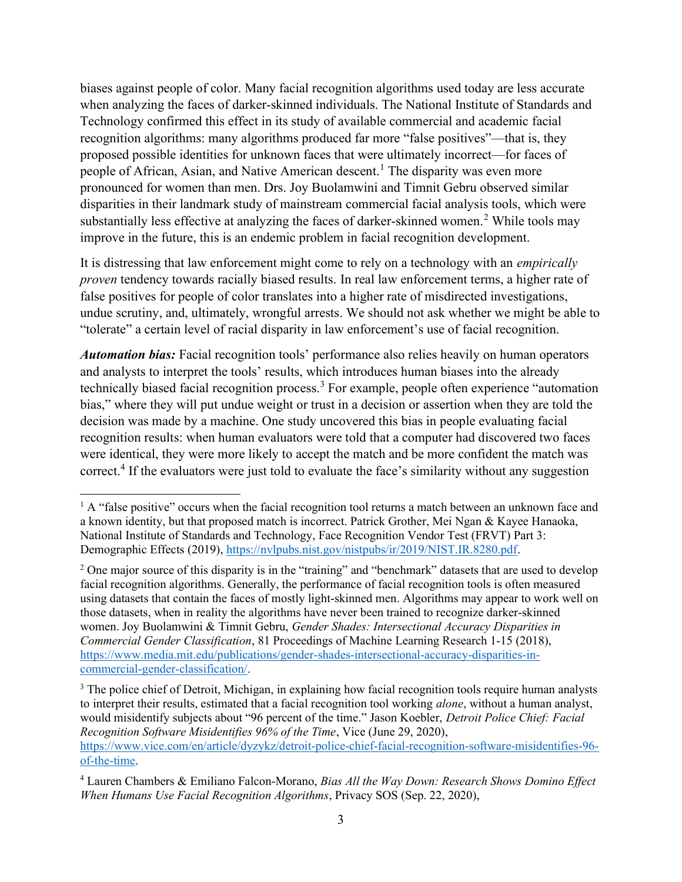biases against people of color. Many facial recognition algorithms used today are less accurate when analyzing the faces of darker-skinned individuals. The National Institute of Standards and Technology confirmed this effect in its study of available commercial and academic facial recognition algorithms: many algorithms produced far more "false positives"—that is, they proposed possible identities for unknown faces that were ultimately incorrect—for faces of people of African, Asian, and Native American descent.<sup>1</sup> The disparity was even more pronounced for women than men. Drs. Joy Buolamwini and Timnit Gebru observed similar disparities in their landmark study of mainstream commercial facial analysis tools, which were substantially less effective at analyzing the faces of darker-skinned women.<sup>2</sup> While tools may improve in the future, this is an endemic problem in facial recognition development.

It is distressing that law enforcement might come to rely on a technology with an empirically proven tendency towards racially biased results. In real law enforcement terms, a higher rate of false positives for people of color translates into a higher rate of misdirected investigations, undue scrutiny, and, ultimately, wrongful arrests. We should not ask whether we might be able to "tolerate" a certain level of racial disparity in law enforcement's use of facial recognition.

**Automation bias:** Facial recognition tools' performance also relies heavily on human operators and analysts to interpret the tools' results, which introduces human biases into the already technically biased facial recognition process.<sup>3</sup> For example, people often experience "automation bias," where they will put undue weight or trust in a decision or assertion when they are told the decision was made by a machine. One study uncovered this bias in people evaluating facial recognition results: when human evaluators were told that a computer had discovered two faces were identical, they were more likely to accept the match and be more confident the match was correct.<sup>4</sup> If the evaluators were just told to evaluate the face's similarity without any suggestion

<sup>&</sup>lt;sup>1</sup> A "false positive" occurs when the facial recognition tool returns a match between an unknown face and a known identity, but that proposed match is incorrect. Patrick Grother, Mei Ngan & Kayee Hanaoka, National Institute of Standards and Technology, Face Recognition Vendor Test (FRVT) Part 3: Demographic Effects (2019), https://nvlpubs.nist.gov/nistpubs/ir/2019/NIST.IR.8280.pdf.

<sup>&</sup>lt;sup>2</sup> One major source of this disparity is in the "training" and "benchmark" datasets that are used to develop facial recognition algorithms. Generally, the performance of facial recognition tools is often measured using datasets that contain the faces of mostly light-skinned men. Algorithms may appear to work well on those datasets, when in reality the algorithms have never been trained to recognize darker-skinned women. Joy Buolamwini & Timnit Gebru, Gender Shades: Intersectional Accuracy Disparities in Commercial Gender Classification, 81 Proceedings of Machine Learning Research 1-15 (2018), https://www.media.mit.edu/publications/gender-shades-intersectional-accuracy-disparities-incommercial-gender-classification/.

<sup>&</sup>lt;sup>3</sup> The police chief of Detroit, Michigan, in explaining how facial recognition tools require human analysts to interpret their results, estimated that a facial recognition tool working *alone*, without a human analyst, would misidentify subjects about "96 percent of the time." Jason Koebler, Detroit Police Chief: Facial Recognition Software Misidentifies 96% of the Time, Vice (June 29, 2020), https://www.vice.com/en/article/dyzykz/detroit-police-chief-facial-recognition-software-misidentifies-96 of-the-time.

 $4$  Lauren Chambers & Emiliano Falcon-Morano, *Bias All the Way Down: Research Shows Domino Effect* When Humans Use Facial Recognition Algorithms, Privacy SOS (Sep. 22, 2020),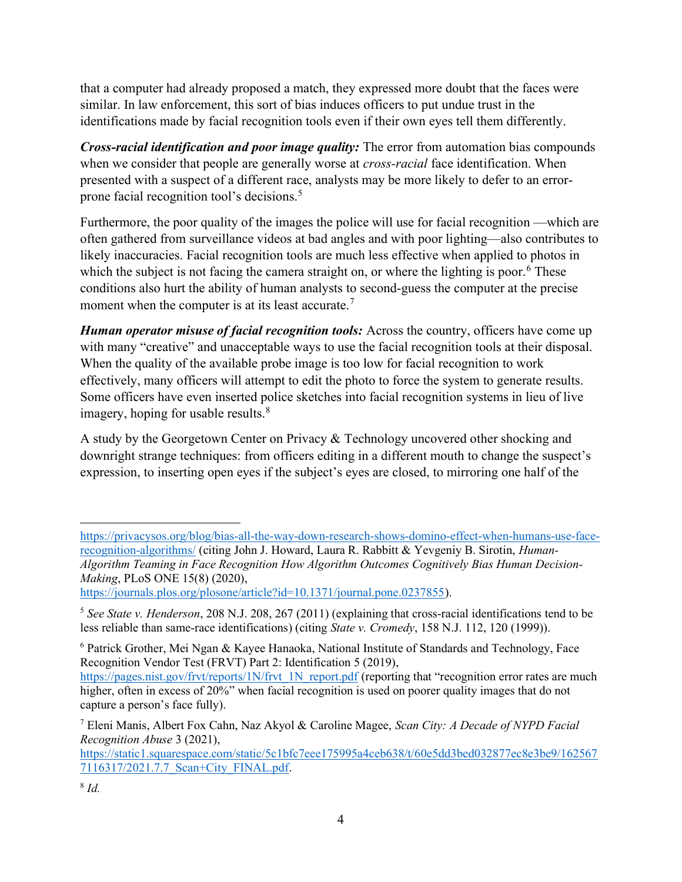that a computer had already proposed a match, they expressed more doubt that the faces were similar. In law enforcement, this sort of bias induces officers to put undue trust in the identifications made by facial recognition tools even if their own eyes tell them differently.

Cross-racial identification and poor image quality: The error from automation bias compounds when we consider that people are generally worse at *cross-racial* face identification. When presented with a suspect of a different race, analysts may be more likely to defer to an errorprone facial recognition tool's decisions.<sup>5</sup>

Furthermore, the poor quality of the images the police will use for facial recognition —which are often gathered from surveillance videos at bad angles and with poor lighting—also contributes to likely inaccuracies. Facial recognition tools are much less effective when applied to photos in which the subject is not facing the camera straight on, or where the lighting is poor.<sup>6</sup> These conditions also hurt the ability of human analysts to second-guess the computer at the precise moment when the computer is at its least accurate.<sup>7</sup>

Human operator misuse of facial recognition tools: Across the country, officers have come up with many "creative" and unacceptable ways to use the facial recognition tools at their disposal. When the quality of the available probe image is too low for facial recognition to work effectively, many officers will attempt to edit the photo to force the system to generate results. Some officers have even inserted police sketches into facial recognition systems in lieu of live imagery, hoping for usable results. $8$ 

A study by the Georgetown Center on Privacy & Technology uncovered other shocking and downright strange techniques: from officers editing in a different mouth to change the suspect's expression, to inserting open eyes if the subject's eyes are closed, to mirroring one half of the

https://journals.plos.org/plosone/article?id=10.1371/journal.pone.0237855).

https://static1.squarespace.com/static/5c1bfc7eee175995a4ceb638/t/60e5dd3bed032877ec8e3be9/162567 7116317/2021.7.7\_Scan+City\_FINAL.pdf.

https://privacysos.org/blog/bias-all-the-way-down-research-shows-domino-effect-when-humans-use-facerecognition-algorithms/ (citing John J. Howard, Laura R. Rabbitt & Yevgeniy B. Sirotin, Human-Algorithm Teaming in Face Recognition How Algorithm Outcomes Cognitively Bias Human Decision-Making, PLoS ONE 15(8) (2020),

<sup>&</sup>lt;sup>5</sup> See State v. Henderson, 208 N.J. 208, 267 (2011) (explaining that cross-racial identifications tend to be less reliable than same-race identifications) (citing State v. Cromedy, 158 N.J. 112, 120 (1999)).

<sup>&</sup>lt;sup>6</sup> Patrick Grother, Mei Ngan & Kayee Hanaoka, National Institute of Standards and Technology, Face Recognition Vendor Test (FRVT) Part 2: Identification 5 (2019),

https://pages.nist.gov/frvt/reports/1N/frvt\_1N\_report.pdf (reporting that "recognition error rates are much higher, often in excess of 20%" when facial recognition is used on poorer quality images that do not capture a person's face fully).

<sup>&</sup>lt;sup>7</sup> Eleni Manis, Albert Fox Cahn, Naz Akyol & Caroline Magee, Scan City: A Decade of NYPD Facial Recognition Abuse 3 (2021),

 $8$  Id.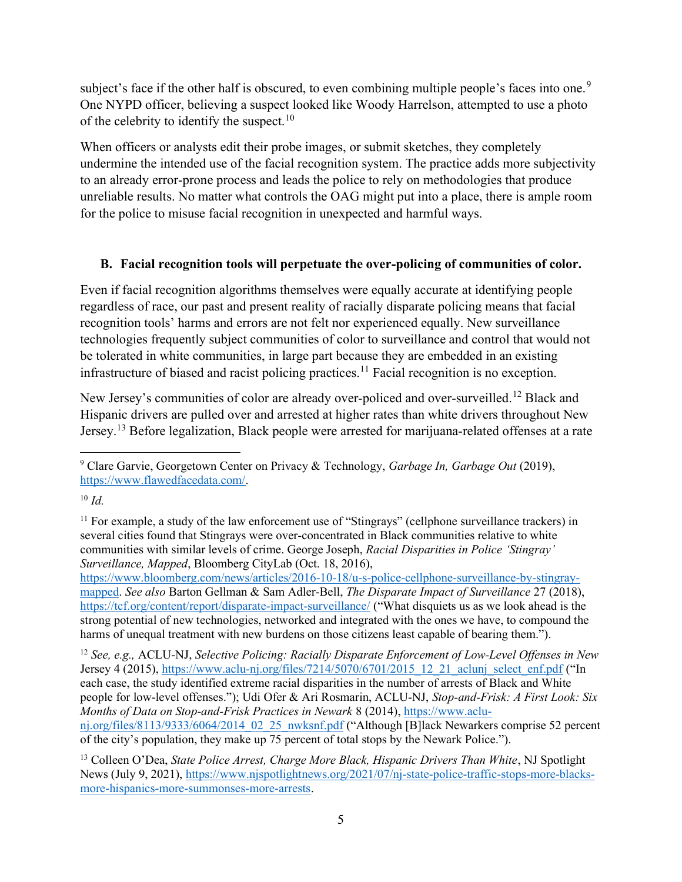subject's face if the other half is obscured, to even combining multiple people's faces into one.<sup>9</sup> One NYPD officer, believing a suspect looked like Woody Harrelson, attempted to use a photo of the celebrity to identify the suspect.<sup>10</sup>

When officers or analysts edit their probe images, or submit sketches, they completely undermine the intended use of the facial recognition system. The practice adds more subjectivity to an already error-prone process and leads the police to rely on methodologies that produce unreliable results. No matter what controls the OAG might put into a place, there is ample room for the police to misuse facial recognition in unexpected and harmful ways.

## B. Facial recognition tools will perpetuate the over-policing of communities of color.

Even if facial recognition algorithms themselves were equally accurate at identifying people regardless of race, our past and present reality of racially disparate policing means that facial recognition tools' harms and errors are not felt nor experienced equally. New surveillance technologies frequently subject communities of color to surveillance and control that would not be tolerated in white communities, in large part because they are embedded in an existing infrastructure of biased and racist policing practices.<sup>11</sup> Facial recognition is no exception.

New Jersey's communities of color are already over-policed and over-surveilled.<sup>12</sup> Black and Hispanic drivers are pulled over and arrested at higher rates than white drivers throughout New Jersey.<sup>13</sup> Before legalization, Black people were arrested for marijuana-related offenses at a rate

 $10 \, \text{Id}$ 

 $12$  See, e.g., ACLU-NJ, Selective Policing: Racially Disparate Enforcement of Low-Level Offenses in New Jersey 4 (2015), https://www.aclu-nj.org/files/7214/5070/6701/2015\_12\_21\_aclunj\_select\_enf.pdf ("In each case, the study identified extreme racial disparities in the number of arrests of Black and White people for low-level offenses."); Udi Ofer & Ari Rosmarin, ACLU-NJ, Stop-and-Frisk: A First Look: Six Months of Data on Stop-and-Frisk Practices in Newark 8 (2014), https://www.aclunj.org/files/8113/9333/6064/2014\_02\_25\_nwksnf.pdf ("Although [B]lack Newarkers comprise 52 percent of the city's population, they make up 75 percent of total stops by the Newark Police.").

<sup>&</sup>lt;sup>9</sup> Clare Garvie, Georgetown Center on Privacy & Technology, Garbage In, Garbage Out (2019), https://www.flawedfacedata.com/.

<sup>&</sup>lt;sup>11</sup> For example, a study of the law enforcement use of "Stingrays" (cellphone surveillance trackers) in several cities found that Stingrays were over-concentrated in Black communities relative to white communities with similar levels of crime. George Joseph, Racial Disparities in Police 'Stingray' Surveillance, Mapped, Bloomberg CityLab (Oct. 18, 2016),

https://www.bloomberg.com/news/articles/2016-10-18/u-s-police-cellphone-surveillance-by-stingraymapped. See also Barton Gellman & Sam Adler-Bell, The Disparate Impact of Surveillance 27 (2018), https://tcf.org/content/report/disparate-impact-surveillance/ ("What disquiets us as we look ahead is the strong potential of new technologies, networked and integrated with the ones we have, to compound the harms of unequal treatment with new burdens on those citizens least capable of bearing them.").

<sup>&</sup>lt;sup>13</sup> Colleen O'Dea, State Police Arrest, Charge More Black, Hispanic Drivers Than White, NJ Spotlight News (July 9, 2021), https://www.njspotlightnews.org/2021/07/nj-state-police-traffic-stops-more-blacksmore-hispanics-more-summonses-more-arrests.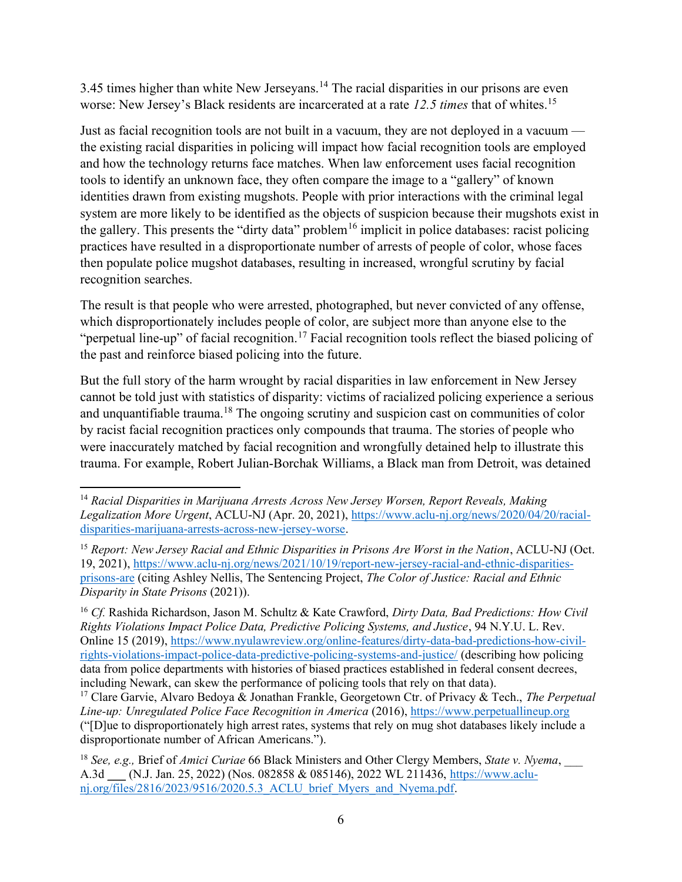3.45 times higher than white New Jerseyans.<sup>14</sup> The racial disparities in our prisons are even worse: New Jersey's Black residents are incarcerated at a rate 12.5 times that of whites.<sup>15</sup>

Just as facial recognition tools are not built in a vacuum, they are not deployed in a vacuum the existing racial disparities in policing will impact how facial recognition tools are employed and how the technology returns face matches. When law enforcement uses facial recognition tools to identify an unknown face, they often compare the image to a "gallery" of known identities drawn from existing mugshots. People with prior interactions with the criminal legal system are more likely to be identified as the objects of suspicion because their mugshots exist in the gallery. This presents the "dirty data" problem<sup>16</sup> implicit in police databases: racist policing practices have resulted in a disproportionate number of arrests of people of color, whose faces then populate police mugshot databases, resulting in increased, wrongful scrutiny by facial recognition searches.

The result is that people who were arrested, photographed, but never convicted of any offense, which disproportionately includes people of color, are subject more than anyone else to the "perpetual line-up" of facial recognition.<sup>17</sup> Facial recognition tools reflect the biased policing of the past and reinforce biased policing into the future.

But the full story of the harm wrought by racial disparities in law enforcement in New Jersey cannot be told just with statistics of disparity: victims of racialized policing experience a serious and unquantifiable trauma.<sup>18</sup> The ongoing scrutiny and suspicion cast on communities of color by racist facial recognition practices only compounds that trauma. The stories of people who were inaccurately matched by facial recognition and wrongfully detained help to illustrate this trauma. For example, Robert Julian-Borchak Williams, a Black man from Detroit, was detained

<sup>&</sup>lt;sup>14</sup> Racial Disparities in Marijuana Arrests Across New Jersey Worsen, Report Reveals, Making Legalization More Urgent, ACLU-NJ (Apr. 20, 2021), https://www.aclu-nj.org/news/2020/04/20/racialdisparities-marijuana-arrests-across-new-jersey-worse.

 $15$  Report: New Jersey Racial and Ethnic Disparities in Prisons Are Worst in the Nation, ACLU-NJ (Oct. 19, 2021), https://www.aclu-nj.org/news/2021/10/19/report-new-jersey-racial-and-ethnic-disparitiesprisons-are (citing Ashley Nellis, The Sentencing Project, The Color of Justice: Racial and Ethnic Disparity in State Prisons (2021)).

<sup>&</sup>lt;sup>16</sup> Cf. Rashida Richardson, Jason M. Schultz & Kate Crawford, Dirty Data, Bad Predictions: How Civil Rights Violations Impact Police Data, Predictive Policing Systems, and Justice, 94 N.Y.U. L. Rev. Online 15 (2019), https://www.nyulawreview.org/online-features/dirty-data-bad-predictions-how-civilrights-violations-impact-police-data-predictive-policing-systems-and-justice/ (describing how policing data from police departments with histories of biased practices established in federal consent decrees, including Newark, can skew the performance of policing tools that rely on that data).

<sup>&</sup>lt;sup>17</sup> Clare Garvie, Alvaro Bedoya & Jonathan Frankle, Georgetown Ctr. of Privacy & Tech., *The Perpetual* Line-up: Unregulated Police Face Recognition in America (2016), https://www.perpetuallineup.org ("[D]ue to disproportionately high arrest rates, systems that rely on mug shot databases likely include a disproportionate number of African Americans.").

<sup>&</sup>lt;sup>18</sup> See, e.g., Brief of Amici Curiae 66 Black Ministers and Other Clergy Members, State v. Nyema, A.3d \_\_\_ (N.J. Jan. 25, 2022) (Nos. 082858 & 085146), 2022 WL 211436, https://www.aclunj.org/files/2816/2023/9516/2020.5.3\_ACLU\_brief\_Myers\_and\_Nyema.pdf.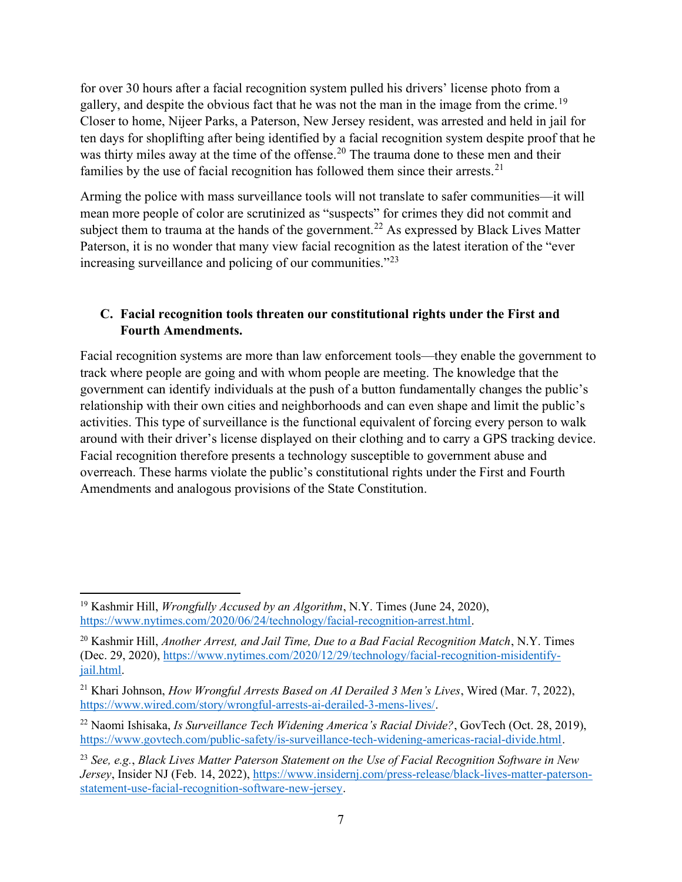for over 30 hours after a facial recognition system pulled his drivers' license photo from a gallery, and despite the obvious fact that he was not the man in the image from the crime.<sup>19</sup> Closer to home, Nijeer Parks, a Paterson, New Jersey resident, was arrested and held in jail for ten days for shoplifting after being identified by a facial recognition system despite proof that he was thirty miles away at the time of the offense.<sup>20</sup> The trauma done to these men and their families by the use of facial recognition has followed them since their arrests.<sup>21</sup>

Arming the police with mass surveillance tools will not translate to safer communities—it will mean more people of color are scrutinized as "suspects" for crimes they did not commit and subject them to trauma at the hands of the government.<sup>22</sup> As expressed by Black Lives Matter Paterson, it is no wonder that many view facial recognition as the latest iteration of the "ever increasing surveillance and policing of our communities."<sup>23</sup>

## C. Facial recognition tools threaten our constitutional rights under the First and Fourth Amendments.

Facial recognition systems are more than law enforcement tools—they enable the government to track where people are going and with whom people are meeting. The knowledge that the government can identify individuals at the push of a button fundamentally changes the public's relationship with their own cities and neighborhoods and can even shape and limit the public's activities. This type of surveillance is the functional equivalent of forcing every person to walk around with their driver's license displayed on their clothing and to carry a GPS tracking device. Facial recognition therefore presents a technology susceptible to government abuse and overreach. These harms violate the public's constitutional rights under the First and Fourth Amendments and analogous provisions of the State Constitution.

<sup>&</sup>lt;sup>19</sup> Kashmir Hill, *Wrongfully Accused by an Algorithm*, N.Y. Times (June 24, 2020), https://www.nytimes.com/2020/06/24/technology/facial-recognition-arrest.html.

 $20$  Kashmir Hill, Another Arrest, and Jail Time, Due to a Bad Facial Recognition Match, N.Y. Times (Dec. 29, 2020), https://www.nytimes.com/2020/12/29/technology/facial-recognition-misidentifyjail.html.

<sup>&</sup>lt;sup>21</sup> Khari Johnson, How Wrongful Arrests Based on AI Derailed 3 Men's Lives, Wired (Mar. 7, 2022), https://www.wired.com/story/wrongful-arrests-ai-derailed-3-mens-lives/.

 $^{22}$  Naomi Ishisaka, *Is Surveillance Tech Widening America's Racial Divide?*, GovTech (Oct. 28, 2019), https://www.govtech.com/public-safety/is-surveillance-tech-widening-americas-racial-divide.html.

 $23$  See, e.g., Black Lives Matter Paterson Statement on the Use of Facial Recognition Software in New Jersey, Insider NJ (Feb. 14, 2022), https://www.insidernj.com/press-release/black-lives-matter-patersonstatement-use-facial-recognition-software-new-jersey.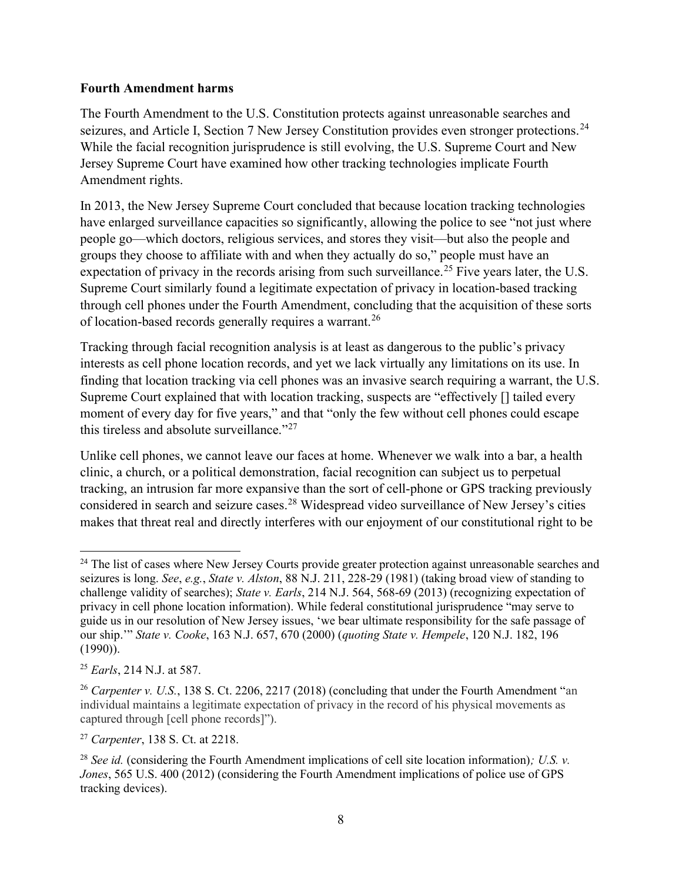#### Fourth Amendment harms

The Fourth Amendment to the U.S. Constitution protects against unreasonable searches and seizures, and Article I, Section 7 New Jersey Constitution provides even stronger protections.<sup>24</sup> While the facial recognition jurisprudence is still evolving, the U.S. Supreme Court and New Jersey Supreme Court have examined how other tracking technologies implicate Fourth Amendment rights.

In 2013, the New Jersey Supreme Court concluded that because location tracking technologies have enlarged surveillance capacities so significantly, allowing the police to see "not just where people go—which doctors, religious services, and stores they visit—but also the people and groups they choose to affiliate with and when they actually do so," people must have an expectation of privacy in the records arising from such surveillance.<sup>25</sup> Five years later, the U.S. Supreme Court similarly found a legitimate expectation of privacy in location-based tracking through cell phones under the Fourth Amendment, concluding that the acquisition of these sorts of location-based records generally requires a warrant.<sup>26</sup>

Tracking through facial recognition analysis is at least as dangerous to the public's privacy interests as cell phone location records, and yet we lack virtually any limitations on its use. In finding that location tracking via cell phones was an invasive search requiring a warrant, the U.S. Supreme Court explained that with location tracking, suspects are "effectively [] tailed every moment of every day for five years," and that "only the few without cell phones could escape this tireless and absolute surveillance."<sup>27</sup>

Unlike cell phones, we cannot leave our faces at home. Whenever we walk into a bar, a health clinic, a church, or a political demonstration, facial recognition can subject us to perpetual tracking, an intrusion far more expansive than the sort of cell-phone or GPS tracking previously considered in search and seizure cases.<sup>28</sup> Widespread video surveillance of New Jersey's cities makes that threat real and directly interferes with our enjoyment of our constitutional right to be

<sup>&</sup>lt;sup>24</sup> The list of cases where New Jersey Courts provide greater protection against unreasonable searches and seizures is long. See, e.g., State v. Alston, 88 N.J. 211, 228-29 (1981) (taking broad view of standing to challenge validity of searches); State v. Earls, 214 N.J. 564, 568-69 (2013) (recognizing expectation of privacy in cell phone location information). While federal constitutional jurisprudence "may serve to guide us in our resolution of New Jersey issues, 'we bear ultimate responsibility for the safe passage of our ship.'" State v. Cooke, 163 N.J. 657, 670 (2000) (quoting State v. Hempele, 120 N.J. 182, 196 (1990)).

 $25$  *Earls*, 214 N.J. at 587.

<sup>&</sup>lt;sup>26</sup> Carpenter v. U.S., 138 S. Ct. 2206, 2217 (2018) (concluding that under the Fourth Amendment "an individual maintains a legitimate expectation of privacy in the record of his physical movements as captured through [cell phone records]").

<sup>27</sup> Carpenter, 138 S. Ct. at 2218.

<sup>&</sup>lt;sup>28</sup> See id. (considering the Fourth Amendment implications of cell site location information); U.S. v. Jones, 565 U.S. 400 (2012) (considering the Fourth Amendment implications of police use of GPS tracking devices).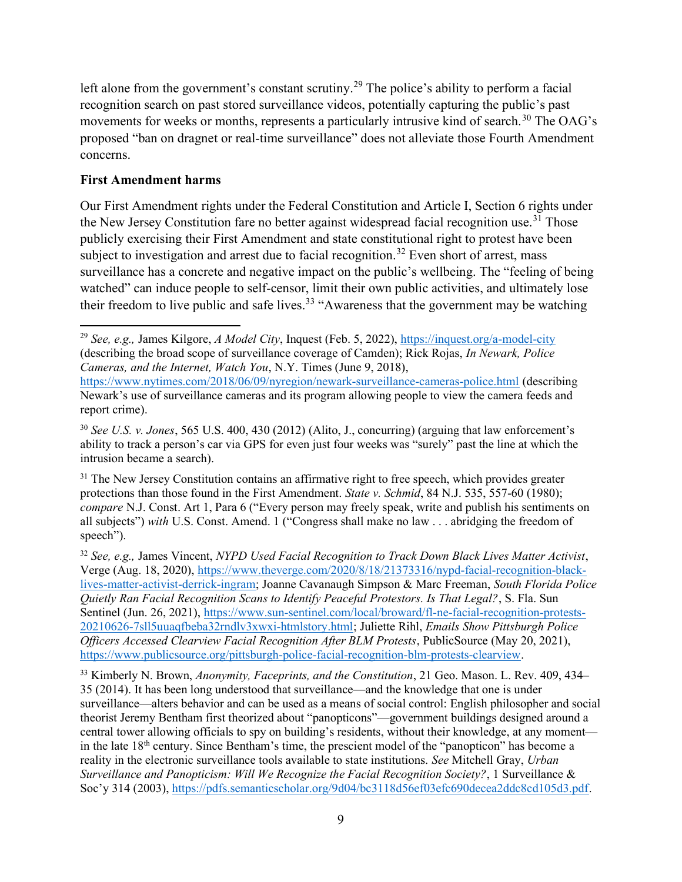left alone from the government's constant scrutiny.<sup>29</sup> The police's ability to perform a facial recognition search on past stored surveillance videos, potentially capturing the public's past movements for weeks or months, represents a particularly intrusive kind of search.<sup>30</sup> The OAG's proposed "ban on dragnet or real-time surveillance" does not alleviate those Fourth Amendment concerns.

#### First Amendment harms

Our First Amendment rights under the Federal Constitution and Article I, Section 6 rights under the New Jersey Constitution fare no better against widespread facial recognition use.<sup>31</sup> Those publicly exercising their First Amendment and state constitutional right to protest have been subject to investigation and arrest due to facial recognition.<sup>32</sup> Even short of arrest, mass surveillance has a concrete and negative impact on the public's wellbeing. The "feeling of being watched" can induce people to self-censor, limit their own public activities, and ultimately lose their freedom to live public and safe lives.<sup>33</sup> "Awareness that the government may be watching

<sup>&</sup>lt;sup>29</sup> See, e.g., James Kilgore, A Model City, Inquest (Feb. 5, 2022), https://inquest.org/a-model-city (describing the broad scope of surveillance coverage of Camden); Rick Rojas, In Newark, Police Cameras, and the Internet, Watch You, N.Y. Times (June 9, 2018),

https://www.nytimes.com/2018/06/09/nyregion/newark-surveillance-cameras-police.html (describing Newark's use of surveillance cameras and its program allowing people to view the camera feeds and report crime).

 $30$  See U.S. v. Jones, 565 U.S. 400, 430 (2012) (Alito, J., concurring) (arguing that law enforcement's ability to track a person's car via GPS for even just four weeks was "surely" past the line at which the intrusion became a search).

<sup>&</sup>lt;sup>31</sup> The New Jersey Constitution contains an affirmative right to free speech, which provides greater protections than those found in the First Amendment. State v. Schmid, 84 N.J. 535, 557-60 (1980); compare N.J. Const. Art 1, Para 6 ("Every person may freely speak, write and publish his sentiments on all subjects") with U.S. Const. Amend. 1 ("Congress shall make no law . . . abridging the freedom of speech").

 $32$  See, e.g., James Vincent, NYPD Used Facial Recognition to Track Down Black Lives Matter Activist, Verge (Aug. 18, 2020), https://www.theverge.com/2020/8/18/21373316/nypd-facial-recognition-blacklives-matter-activist-derrick-ingram; Joanne Cavanaugh Simpson & Marc Freeman, South Florida Police Quietly Ran Facial Recognition Scans to Identify Peaceful Protestors. Is That Legal?, S. Fla. Sun Sentinel (Jun. 26, 2021), https://www.sun-sentinel.com/local/broward/fl-ne-facial-recognition-protests-20210626-7sll5uuaqfbeba32rndlv3xwxi-htmlstory.html; Juliette Rihl, Emails Show Pittsburgh Police Officers Accessed Clearview Facial Recognition After BLM Protests, PublicSource (May 20, 2021), https://www.publicsource.org/pittsburgh-police-facial-recognition-blm-protests-clearview.

<sup>&</sup>lt;sup>33</sup> Kimberly N. Brown, Anonymity, Faceprints, and the Constitution, 21 Geo. Mason. L. Rev. 409, 434– 35 (2014). It has been long understood that surveillance—and the knowledge that one is under surveillance—alters behavior and can be used as a means of social control: English philosopher and social theorist Jeremy Bentham first theorized about "panopticons"—government buildings designed around a central tower allowing officials to spy on building's residents, without their knowledge, at any moment in the late  $18<sup>th</sup>$  century. Since Bentham's time, the prescient model of the "panopticon" has become a reality in the electronic surveillance tools available to state institutions. See Mitchell Gray, Urban Surveillance and Panopticism: Will We Recognize the Facial Recognition Society?, 1 Surveillance & Soc'y 314 (2003), https://pdfs.semanticscholar.org/9d04/bc3118d56ef03efc690decea2ddc8cd105d3.pdf.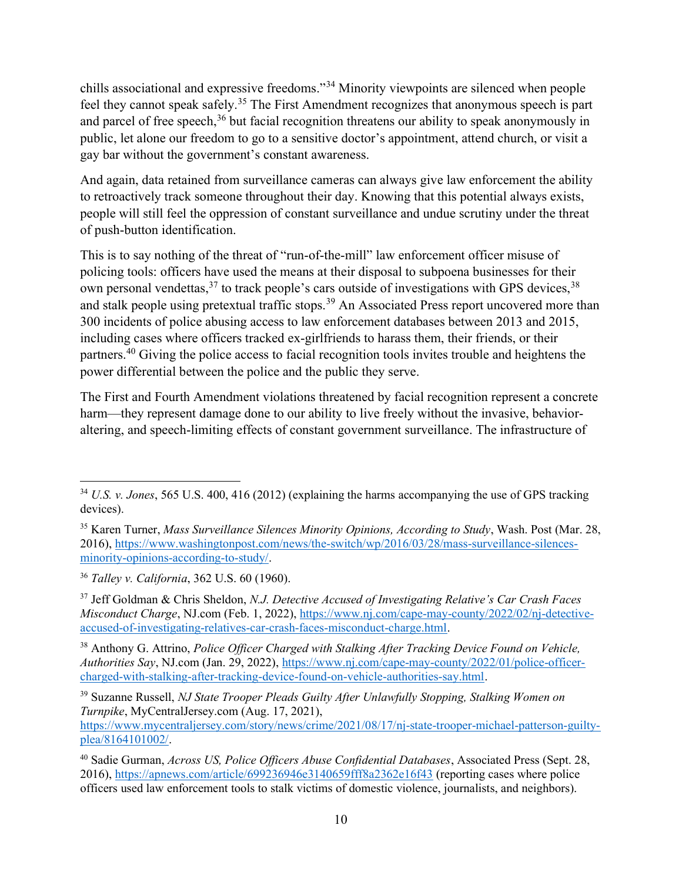chills associational and expressive freedoms."<sup>34</sup> Minority viewpoints are silenced when people feel they cannot speak safely.<sup>35</sup> The First Amendment recognizes that anonymous speech is part and parcel of free speech, $36$  but facial recognition threatens our ability to speak anonymously in public, let alone our freedom to go to a sensitive doctor's appointment, attend church, or visit a gay bar without the government's constant awareness.

And again, data retained from surveillance cameras can always give law enforcement the ability to retroactively track someone throughout their day. Knowing that this potential always exists, people will still feel the oppression of constant surveillance and undue scrutiny under the threat of push-button identification.

This is to say nothing of the threat of "run-of-the-mill" law enforcement officer misuse of policing tools: officers have used the means at their disposal to subpoena businesses for their own personal vendettas, $37$  to track people's cars outside of investigations with GPS devices,  $38$ and stalk people using pretextual traffic stops.<sup>39</sup> An Associated Press report uncovered more than 300 incidents of police abusing access to law enforcement databases between 2013 and 2015, including cases where officers tracked ex-girlfriends to harass them, their friends, or their partners.<sup>40</sup> Giving the police access to facial recognition tools invites trouble and heightens the power differential between the police and the public they serve.

The First and Fourth Amendment violations threatened by facial recognition represent a concrete harm—they represent damage done to our ability to live freely without the invasive, behavioraltering, and speech-limiting effects of constant government surveillance. The infrastructure of

 $34$  U.S. v. Jones, 565 U.S. 400, 416 (2012) (explaining the harms accompanying the use of GPS tracking devices).

<sup>&</sup>lt;sup>35</sup> Karen Turner, *Mass Surveillance Silences Minority Opinions, According to Study*, Wash. Post (Mar. 28, 2016), https://www.washingtonpost.com/news/the-switch/wp/2016/03/28/mass-surveillance-silencesminority-opinions-according-to-study/.

<sup>36</sup> Talley v. California, 362 U.S. 60 (1960).

 $37$  Jeff Goldman & Chris Sheldon, N.J. Detective Accused of Investigating Relative's Car Crash Faces Misconduct Charge, NJ.com (Feb. 1, 2022), https://www.nj.com/cape-may-county/2022/02/nj-detectiveaccused-of-investigating-relatives-car-crash-faces-misconduct-charge.html.

<sup>&</sup>lt;sup>38</sup> Anthony G. Attrino, Police Officer Charged with Stalking After Tracking Device Found on Vehicle, Authorities Say, NJ.com (Jan. 29, 2022), https://www.nj.com/cape-may-county/2022/01/police-officercharged-with-stalking-after-tracking-device-found-on-vehicle-authorities-say.html.

<sup>&</sup>lt;sup>39</sup> Suzanne Russell, NJ State Trooper Pleads Guilty After Unlawfully Stopping, Stalking Women on Turnpike, MyCentralJersey.com (Aug. 17, 2021), https://www.mycentraljersey.com/story/news/crime/2021/08/17/nj-state-trooper-michael-patterson-guiltyplea/8164101002/.

<sup>&</sup>lt;sup>40</sup> Sadie Gurman, Across US, Police Officers Abuse Confidential Databases, Associated Press (Sept. 28, 2016), https://apnews.com/article/699236946e3140659fff8a2362e16f43 (reporting cases where police officers used law enforcement tools to stalk victims of domestic violence, journalists, and neighbors).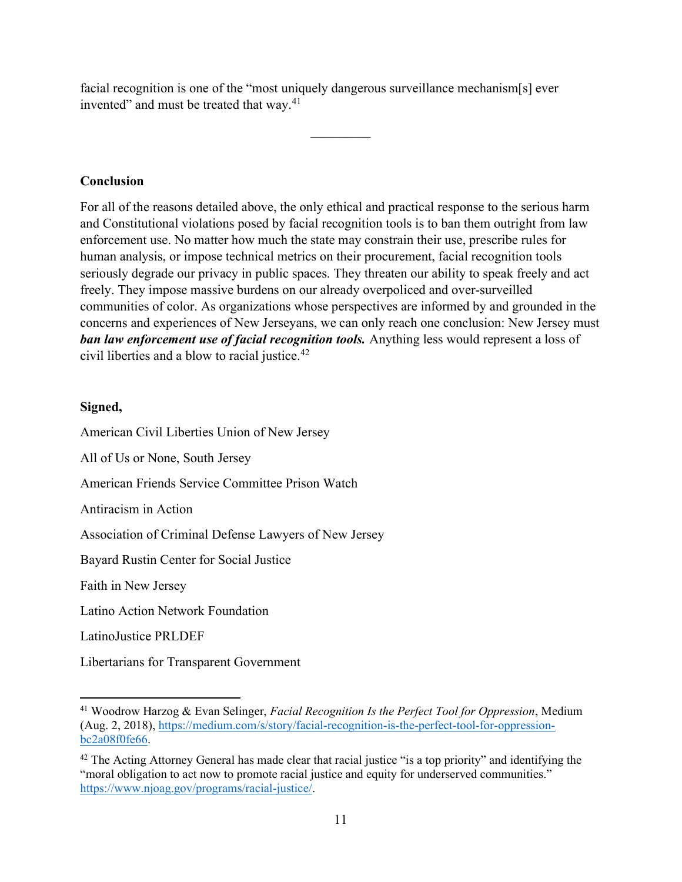facial recognition is one of the "most uniquely dangerous surveillance mechanism[s] ever invented" and must be treated that way.<sup>41</sup>

#### Conclusion

For all of the reasons detailed above, the only ethical and practical response to the serious harm and Constitutional violations posed by facial recognition tools is to ban them outright from law enforcement use. No matter how much the state may constrain their use, prescribe rules for human analysis, or impose technical metrics on their procurement, facial recognition tools seriously degrade our privacy in public spaces. They threaten our ability to speak freely and act freely. They impose massive burdens on our already overpoliced and over-surveilled communities of color. As organizations whose perspectives are informed by and grounded in the concerns and experiences of New Jerseyans, we can only reach one conclusion: New Jersey must ban law enforcement use of facial recognition tools. Anything less would represent a loss of civil liberties and a blow to racial justice.<sup>42</sup>

#### Signed,

American Civil Liberties Union of New Jersey All of Us or None, South Jersey American Friends Service Committee Prison Watch Antiracism in Action

Association of Criminal Defense Lawyers of New Jersey

Bayard Rustin Center for Social Justice

Faith in New Jersey

Latino Action Network Foundation

LatinoJustice PRLDEF

Libertarians for Transparent Government

 $41$  Woodrow Harzog & Evan Selinger, Facial Recognition Is the Perfect Tool for Oppression, Medium (Aug. 2, 2018), https://medium.com/s/story/facial-recognition-is-the-perfect-tool-for-oppressionbc2a08f0fe66.

 $42$  The Acting Attorney General has made clear that racial justice "is a top priority" and identifying the "moral obligation to act now to promote racial justice and equity for underserved communities." https://www.njoag.gov/programs/racial-justice/.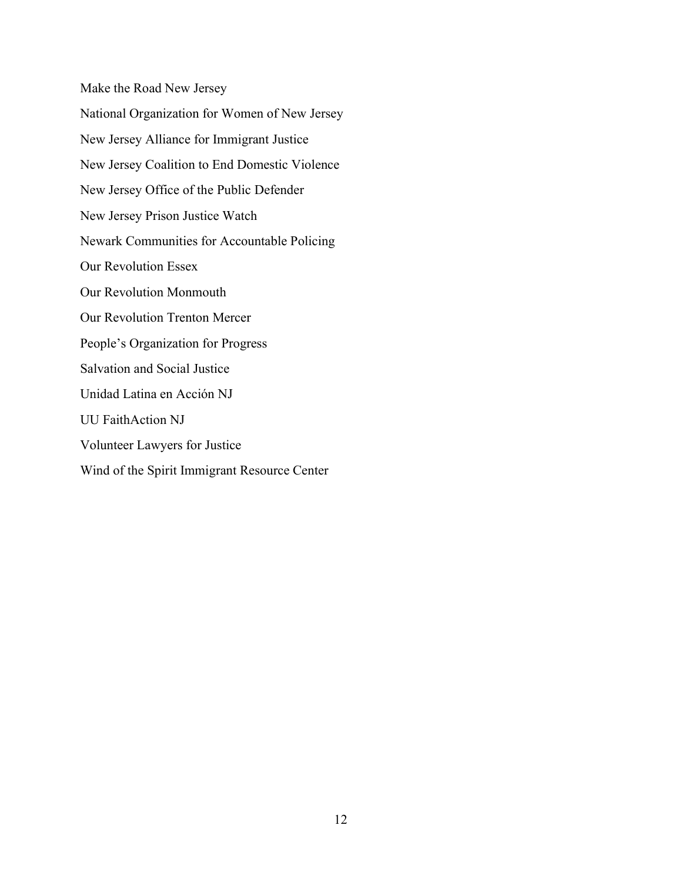Make the Road New Jersey National Organization for Women of New Jersey New Jersey Alliance for Immigrant Justice New Jersey Coalition to End Domestic Violence New Jersey Office of the Public Defender New Jersey Prison Justice Watch Newark Communities for Accountable Policing Our Revolution Essex Our Revolution Monmouth Our Revolution Trenton Mercer People's Organization for Progress Salvation and Social Justice Unidad Latina en Acción NJ UU FaithAction NJ Volunteer Lawyers for Justice Wind of the Spirit Immigrant Resource Center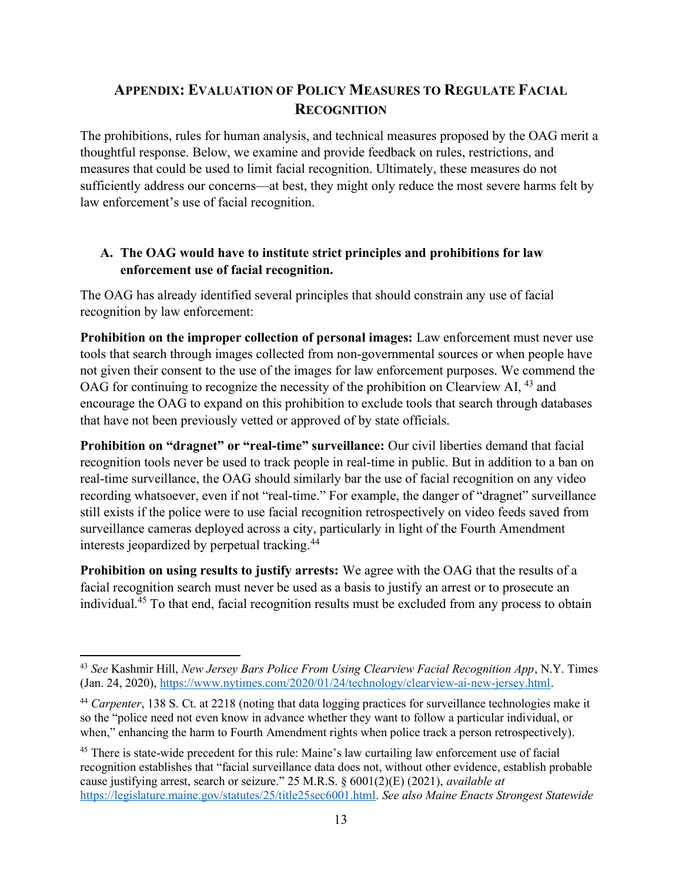# APPENDIX: EVALUATION OF POLICY MEASURES TO REGULATE FACIAL **RECOGNITION**

The prohibitions, rules for human analysis, and technical measures proposed by the OAG merit a thoughtful response. Below, we examine and provide feedback on rules, restrictions, and measures that could be used to limit facial recognition. Ultimately, these measures do not sufficiently address our concerns—at best, they might only reduce the most severe harms felt by law enforcement's use of facial recognition.

## A. The OAG would have to institute strict principles and prohibitions for law enforcement use of facial recognition.

The OAG has already identified several principles that should constrain any use of facial recognition by law enforcement:

Prohibition on the improper collection of personal images: Law enforcement must never use tools that search through images collected from non-governmental sources or when people have not given their consent to the use of the images for law enforcement purposes. We commend the OAG for continuing to recognize the necessity of the prohibition on Clearview AI, <sup>43</sup> and encourage the OAG to expand on this prohibition to exclude tools that search through databases that have not been previously vetted or approved of by state officials.

Prohibition on "dragnet" or "real-time" surveillance: Our civil liberties demand that facial recognition tools never be used to track people in real-time in public. But in addition to a ban on real-time surveillance, the OAG should similarly bar the use of facial recognition on any video recording whatsoever, even if not "real-time." For example, the danger of "dragnet" surveillance still exists if the police were to use facial recognition retrospectively on video feeds saved from surveillance cameras deployed across a city, particularly in light of the Fourth Amendment interests jeopardized by perpetual tracking.<sup>44</sup>

Prohibition on using results to justify arrests: We agree with the OAG that the results of a facial recognition search must never be used as a basis to justify an arrest or to prosecute an individual.<sup>45</sup> To that end, facial recognition results must be excluded from any process to obtain

<sup>&</sup>lt;sup>43</sup> See Kashmir Hill, New Jersey Bars Police From Using Clearview Facial Recognition App, N.Y. Times (Jan. 24, 2020), https://www.nytimes.com/2020/01/24/technology/clearview-ai-new-jersey.html.

<sup>&</sup>lt;sup>44</sup> Carpenter, 138 S. Ct. at 2218 (noting that data logging practices for surveillance technologies make it so the "police need not even know in advance whether they want to follow a particular individual, or when," enhancing the harm to Fourth Amendment rights when police track a person retrospectively).

<sup>&</sup>lt;sup>45</sup> There is state-wide precedent for this rule: Maine's law curtailing law enforcement use of facial recognition establishes that "facial surveillance data does not, without other evidence, establish probable cause justifying arrest, search or seizure." 25 M.R.S.  $\frac{6001(2)(E)}{2021}$ , *available at* https://legislature.maine.gov/statutes/25/title25sec6001.html. See also Maine Enacts Strongest Statewide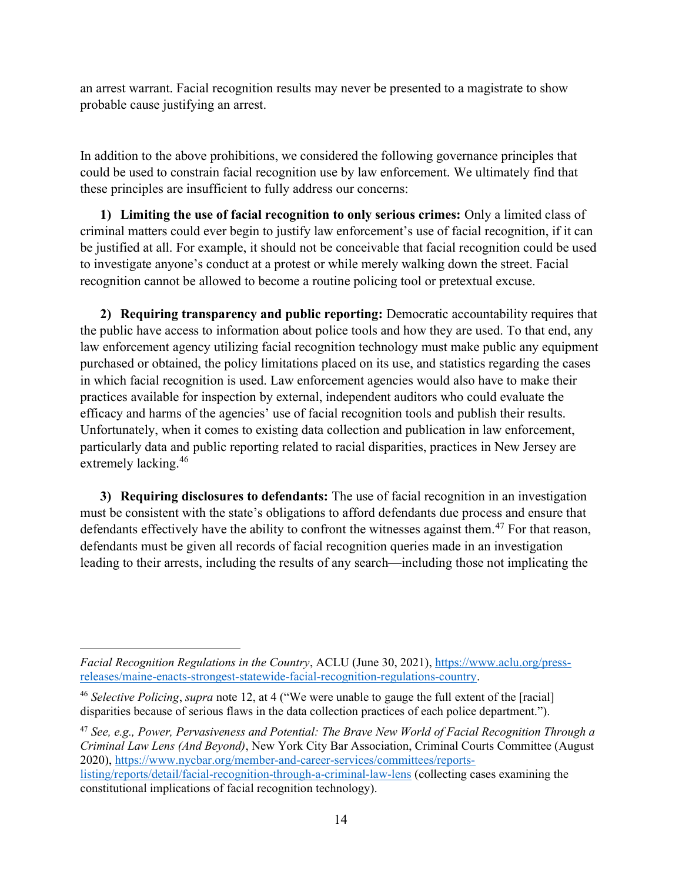an arrest warrant. Facial recognition results may never be presented to a magistrate to show probable cause justifying an arrest.

In addition to the above prohibitions, we considered the following governance principles that could be used to constrain facial recognition use by law enforcement. We ultimately find that these principles are insufficient to fully address our concerns:

1) Limiting the use of facial recognition to only serious crimes: Only a limited class of criminal matters could ever begin to justify law enforcement's use of facial recognition, if it can be justified at all. For example, it should not be conceivable that facial recognition could be used to investigate anyone's conduct at a protest or while merely walking down the street. Facial recognition cannot be allowed to become a routine policing tool or pretextual excuse.

2) Requiring transparency and public reporting: Democratic accountability requires that the public have access to information about police tools and how they are used. To that end, any law enforcement agency utilizing facial recognition technology must make public any equipment purchased or obtained, the policy limitations placed on its use, and statistics regarding the cases in which facial recognition is used. Law enforcement agencies would also have to make their practices available for inspection by external, independent auditors who could evaluate the efficacy and harms of the agencies' use of facial recognition tools and publish their results. Unfortunately, when it comes to existing data collection and publication in law enforcement, particularly data and public reporting related to racial disparities, practices in New Jersey are extremely lacking.<sup>46</sup>

3) Requiring disclosures to defendants: The use of facial recognition in an investigation must be consistent with the state's obligations to afford defendants due process and ensure that defendants effectively have the ability to confront the witnesses against them.<sup>47</sup> For that reason, defendants must be given all records of facial recognition queries made in an investigation leading to their arrests, including the results of any search—including those not implicating the

 $47$  See, e.g., Power, Pervasiveness and Potential: The Brave New World of Facial Recognition Through a Criminal Law Lens (And Beyond), New York City Bar Association, Criminal Courts Committee (August 2020), https://www.nycbar.org/member-and-career-services/committees/reportslisting/reports/detail/facial-recognition-through-a-criminal-law-lens (collecting cases examining the constitutional implications of facial recognition technology).

Facial Recognition Regulations in the Country, ACLU (June 30, 2021), https://www.aclu.org/pressreleases/maine-enacts-strongest-statewide-facial-recognition-regulations-country.

 $46$  Selective Policing, supra note 12, at 4 ("We were unable to gauge the full extent of the [racial] disparities because of serious flaws in the data collection practices of each police department.").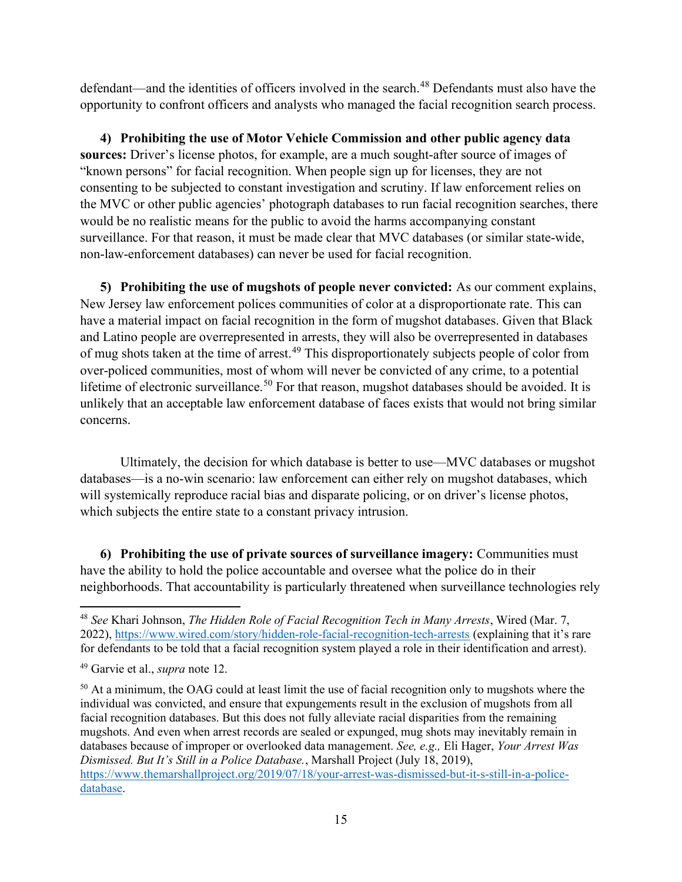defendant—and the identities of officers involved in the search.<sup>48</sup> Defendants must also have the opportunity to confront officers and analysts who managed the facial recognition search process.

4) Prohibiting the use of Motor Vehicle Commission and other public agency data sources: Driver's license photos, for example, are a much sought-after source of images of "known persons" for facial recognition. When people sign up for licenses, they are not consenting to be subjected to constant investigation and scrutiny. If law enforcement relies on the MVC or other public agencies' photograph databases to run facial recognition searches, there would be no realistic means for the public to avoid the harms accompanying constant surveillance. For that reason, it must be made clear that MVC databases (or similar state-wide, non-law-enforcement databases) can never be used for facial recognition.

5) Prohibiting the use of mugshots of people never convicted: As our comment explains, New Jersey law enforcement polices communities of color at a disproportionate rate. This can have a material impact on facial recognition in the form of mugshot databases. Given that Black and Latino people are overrepresented in arrests, they will also be overrepresented in databases of mug shots taken at the time of arrest.<sup>49</sup> This disproportionately subjects people of color from over-policed communities, most of whom will never be convicted of any crime, to a potential lifetime of electronic surveillance.<sup>50</sup> For that reason, mugshot databases should be avoided. It is unlikely that an acceptable law enforcement database of faces exists that would not bring similar concerns.

Ultimately, the decision for which database is better to use—MVC databases or mugshot databases—is a no-win scenario: law enforcement can either rely on mugshot databases, which will systemically reproduce racial bias and disparate policing, or on driver's license photos, which subjects the entire state to a constant privacy intrusion.

6) Prohibiting the use of private sources of surveillance imagery: Communities must have the ability to hold the police accountable and oversee what the police do in their neighborhoods. That accountability is particularly threatened when surveillance technologies rely

<sup>&</sup>lt;sup>48</sup> See Khari Johnson, The Hidden Role of Facial Recognition Tech in Many Arrests, Wired (Mar. 7, 2022), https://www.wired.com/story/hidden-role-facial-recognition-tech-arrests (explaining that it's rare for defendants to be told that a facial recognition system played a role in their identification and arrest).

<sup>&</sup>lt;sup>49</sup> Garvie et al., *supra* note 12.

<sup>&</sup>lt;sup>50</sup> At a minimum, the OAG could at least limit the use of facial recognition only to mugshots where the individual was convicted, and ensure that expungements result in the exclusion of mugshots from all facial recognition databases. But this does not fully alleviate racial disparities from the remaining mugshots. And even when arrest records are sealed or expunged, mug shots may inevitably remain in databases because of improper or overlooked data management. See, e.g., Eli Hager, Your Arrest Was Dismissed. But It's Still in a Police Database., Marshall Project (July 18, 2019), https://www.themarshallproject.org/2019/07/18/your-arrest-was-dismissed-but-it-s-still-in-a-policedatabase.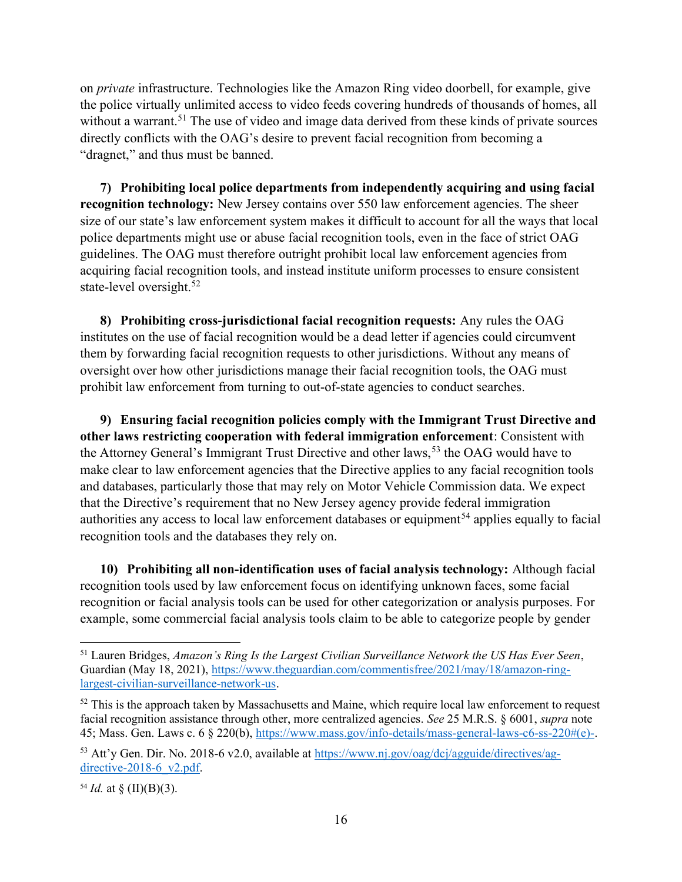on private infrastructure. Technologies like the Amazon Ring video doorbell, for example, give the police virtually unlimited access to video feeds covering hundreds of thousands of homes, all without a warrant.<sup>51</sup> The use of video and image data derived from these kinds of private sources directly conflicts with the OAG's desire to prevent facial recognition from becoming a "dragnet," and thus must be banned.

7) Prohibiting local police departments from independently acquiring and using facial recognition technology: New Jersey contains over 550 law enforcement agencies. The sheer size of our state's law enforcement system makes it difficult to account for all the ways that local police departments might use or abuse facial recognition tools, even in the face of strict OAG guidelines. The OAG must therefore outright prohibit local law enforcement agencies from acquiring facial recognition tools, and instead institute uniform processes to ensure consistent state-level oversight.<sup>52</sup>

8) Prohibiting cross-jurisdictional facial recognition requests: Any rules the OAG institutes on the use of facial recognition would be a dead letter if agencies could circumvent them by forwarding facial recognition requests to other jurisdictions. Without any means of oversight over how other jurisdictions manage their facial recognition tools, the OAG must prohibit law enforcement from turning to out-of-state agencies to conduct searches.

9) Ensuring facial recognition policies comply with the Immigrant Trust Directive and other laws restricting cooperation with federal immigration enforcement: Consistent with the Attorney General's Immigrant Trust Directive and other laws,<sup>53</sup> the OAG would have to make clear to law enforcement agencies that the Directive applies to any facial recognition tools and databases, particularly those that may rely on Motor Vehicle Commission data. We expect that the Directive's requirement that no New Jersey agency provide federal immigration authorities any access to local law enforcement databases or equipment<sup>54</sup> applies equally to facial recognition tools and the databases they rely on.

10) Prohibiting all non-identification uses of facial analysis technology: Although facial recognition tools used by law enforcement focus on identifying unknown faces, some facial recognition or facial analysis tools can be used for other categorization or analysis purposes. For example, some commercial facial analysis tools claim to be able to categorize people by gender

<sup>&</sup>lt;sup>51</sup> Lauren Bridges, Amazon's Ring Is the Largest Civilian Surveillance Network the US Has Ever Seen, Guardian (May 18, 2021), https://www.theguardian.com/commentisfree/2021/may/18/amazon-ringlargest-civilian-surveillance-network-us.

<sup>&</sup>lt;sup>52</sup> This is the approach taken by Massachusetts and Maine, which require local law enforcement to request facial recognition assistance through other, more centralized agencies. See 25 M.R.S. § 6001, *supra* note 45; Mass. Gen. Laws c. 6 § 220(b), https://www.mass.gov/info-details/mass-general-laws-c6-ss-220#(e)-.

<sup>&</sup>lt;sup>53</sup> Att'y Gen. Dir. No. 2018-6 v2.0, available at https://www.nj.gov/oag/dcj/agguide/directives/agdirective-2018-6 $v2.pdf$ .

<sup>&</sup>lt;sup>54</sup> *Id.* at  $\S$  (II)(B)(3).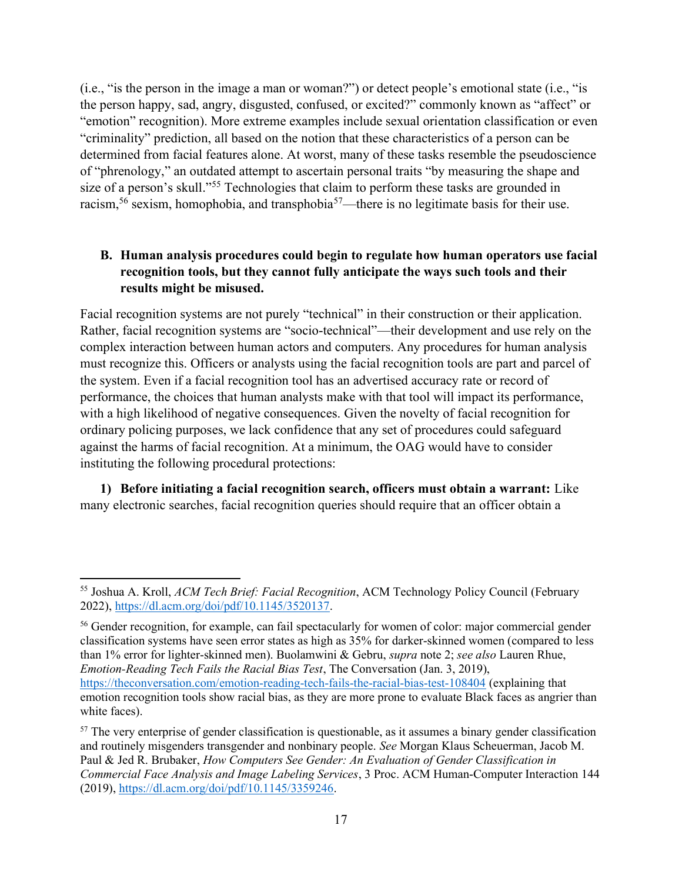(i.e., "is the person in the image a man or woman?") or detect people's emotional state (i.e., "is the person happy, sad, angry, disgusted, confused, or excited?" commonly known as "affect" or "emotion" recognition). More extreme examples include sexual orientation classification or even "criminality" prediction, all based on the notion that these characteristics of a person can be determined from facial features alone. At worst, many of these tasks resemble the pseudoscience of "phrenology," an outdated attempt to ascertain personal traits "by measuring the shape and size of a person's skull."<sup>55</sup> Technologies that claim to perform these tasks are grounded in racism,<sup>56</sup> sexism, homophobia, and transphobia<sup>57</sup>—there is no legitimate basis for their use.

## B. Human analysis procedures could begin to regulate how human operators use facial recognition tools, but they cannot fully anticipate the ways such tools and their results might be misused.

Facial recognition systems are not purely "technical" in their construction or their application. Rather, facial recognition systems are "socio-technical"—their development and use rely on the complex interaction between human actors and computers. Any procedures for human analysis must recognize this. Officers or analysts using the facial recognition tools are part and parcel of the system. Even if a facial recognition tool has an advertised accuracy rate or record of performance, the choices that human analysts make with that tool will impact its performance, with a high likelihood of negative consequences. Given the novelty of facial recognition for ordinary policing purposes, we lack confidence that any set of procedures could safeguard against the harms of facial recognition. At a minimum, the OAG would have to consider instituting the following procedural protections:

1) Before initiating a facial recognition search, officers must obtain a warrant: Like many electronic searches, facial recognition queries should require that an officer obtain a

<sup>55</sup> Joshua A. Kroll, ACM Tech Brief: Facial Recognition, ACM Technology Policy Council (February 2022), https://dl.acm.org/doi/pdf/10.1145/3520137.

<sup>56</sup> Gender recognition, for example, can fail spectacularly for women of color: major commercial gender classification systems have seen error states as high as 35% for darker-skinned women (compared to less than 1% error for lighter-skinned men). Buolamwini & Gebru, *supra* note 2; see also Lauren Rhue, Emotion-Reading Tech Fails the Racial Bias Test, The Conversation (Jan. 3, 2019), https://theconversation.com/emotion-reading-tech-fails-the-racial-bias-test-108404 (explaining that emotion recognition tools show racial bias, as they are more prone to evaluate Black faces as angrier than white faces).

<sup>&</sup>lt;sup>57</sup> The very enterprise of gender classification is questionable, as it assumes a binary gender classification and routinely misgenders transgender and nonbinary people. See Morgan Klaus Scheuerman, Jacob M. Paul & Jed R. Brubaker, How Computers See Gender: An Evaluation of Gender Classification in Commercial Face Analysis and Image Labeling Services, 3 Proc. ACM Human-Computer Interaction 144 (2019), https://dl.acm.org/doi/pdf/10.1145/3359246.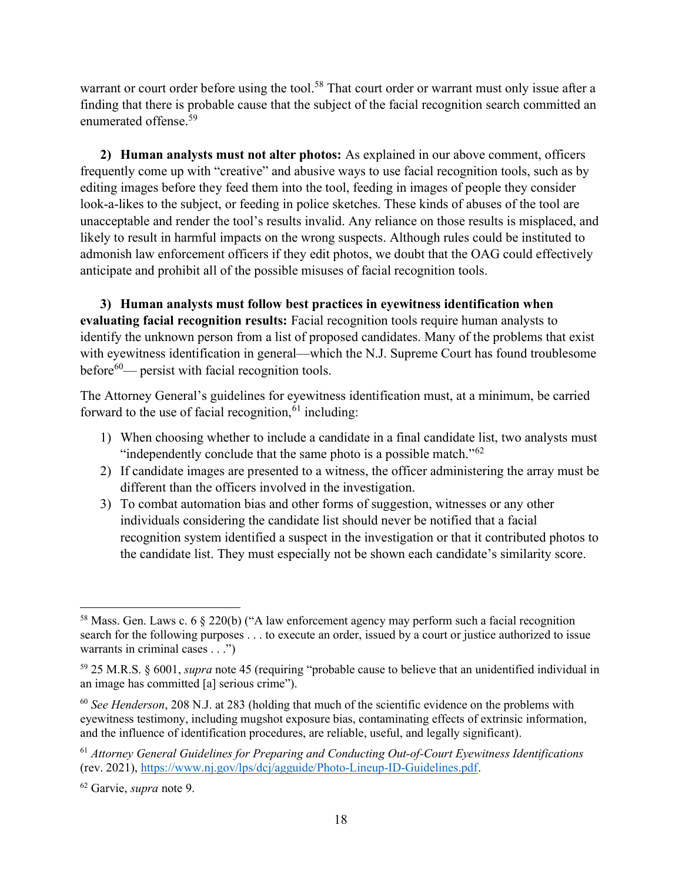warrant or court order before using the tool.<sup>58</sup> That court order or warrant must only issue after a finding that there is probable cause that the subject of the facial recognition search committed an enumerated offense.<sup>59</sup>

2) Human analysts must not alter photos: As explained in our above comment, officers frequently come up with "creative" and abusive ways to use facial recognition tools, such as by editing images before they feed them into the tool, feeding in images of people they consider look-a-likes to the subject, or feeding in police sketches. These kinds of abuses of the tool are unacceptable and render the tool's results invalid. Any reliance on those results is misplaced, and likely to result in harmful impacts on the wrong suspects. Although rules could be instituted to admonish law enforcement officers if they edit photos, we doubt that the OAG could effectively anticipate and prohibit all of the possible misuses of facial recognition tools.

3) Human analysts must follow best practices in eyewitness identification when evaluating facial recognition results: Facial recognition tools require human analysts to identify the unknown person from a list of proposed candidates. Many of the problems that exist with eyewitness identification in general—which the N.J. Supreme Court has found troublesome before $60$ — persist with facial recognition tools.

The Attorney General's guidelines for eyewitness identification must, at a minimum, be carried forward to the use of facial recognition,  $61$  including:

- 1) When choosing whether to include a candidate in a final candidate list, two analysts must "independently conclude that the same photo is a possible match."<sup>62</sup>
- 2) If candidate images are presented to a witness, the officer administering the array must be different than the officers involved in the investigation.
- 3) To combat automation bias and other forms of suggestion, witnesses or any other individuals considering the candidate list should never be notified that a facial recognition system identified a suspect in the investigation or that it contributed photos to the candidate list. They must especially not be shown each candidate's similarity score.

<sup>&</sup>lt;sup>58</sup> Mass. Gen. Laws c. 6  $\S$  220(b) ("A law enforcement agency may perform such a facial recognition search for the following purposes . . . to execute an order, issued by a court or justice authorized to issue warrants in criminal cases . . .")

<sup>59</sup> 25 M.R.S. § 6001, supra note 45 (requiring "probable cause to believe that an unidentified individual in an image has committed [a] serious crime").

 $60$  See Henderson, 208 N.J. at 283 (holding that much of the scientific evidence on the problems with eyewitness testimony, including mugshot exposure bias, contaminating effects of extrinsic information, and the influence of identification procedures, are reliable, useful, and legally significant).

 $61$  Attorney General Guidelines for Preparing and Conducting Out-of-Court Eyewitness Identifications (rev. 2021), https://www.nj.gov/lps/dcj/agguide/Photo-Lineup-ID-Guidelines.pdf.

<sup>62</sup> Garvie, supra note 9.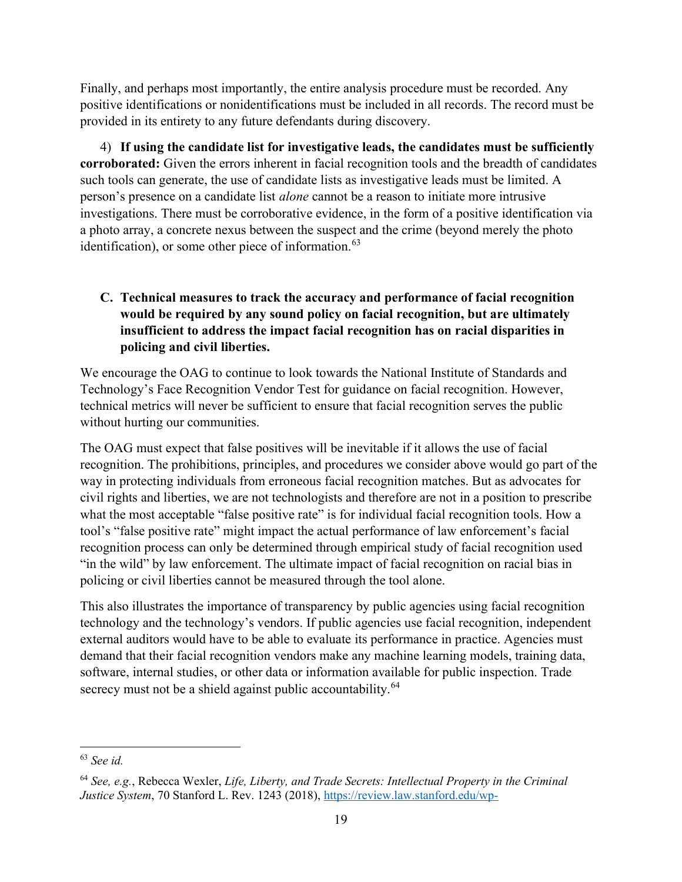Finally, and perhaps most importantly, the entire analysis procedure must be recorded. Any positive identifications or nonidentifications must be included in all records. The record must be provided in its entirety to any future defendants during discovery.

4) If using the candidate list for investigative leads, the candidates must be sufficiently corroborated: Given the errors inherent in facial recognition tools and the breadth of candidates such tools can generate, the use of candidate lists as investigative leads must be limited. A person's presence on a candidate list alone cannot be a reason to initiate more intrusive investigations. There must be corroborative evidence, in the form of a positive identification via a photo array, a concrete nexus between the suspect and the crime (beyond merely the photo identification), or some other piece of information. $63$ 

# C. Technical measures to track the accuracy and performance of facial recognition would be required by any sound policy on facial recognition, but are ultimately insufficient to address the impact facial recognition has on racial disparities in policing and civil liberties.

We encourage the OAG to continue to look towards the National Institute of Standards and Technology's Face Recognition Vendor Test for guidance on facial recognition. However, technical metrics will never be sufficient to ensure that facial recognition serves the public without hurting our communities.

The OAG must expect that false positives will be inevitable if it allows the use of facial recognition. The prohibitions, principles, and procedures we consider above would go part of the way in protecting individuals from erroneous facial recognition matches. But as advocates for civil rights and liberties, we are not technologists and therefore are not in a position to prescribe what the most acceptable "false positive rate" is for individual facial recognition tools. How a tool's "false positive rate" might impact the actual performance of law enforcement's facial recognition process can only be determined through empirical study of facial recognition used "in the wild" by law enforcement. The ultimate impact of facial recognition on racial bias in policing or civil liberties cannot be measured through the tool alone.

This also illustrates the importance of transparency by public agencies using facial recognition technology and the technology's vendors. If public agencies use facial recognition, independent external auditors would have to be able to evaluate its performance in practice. Agencies must demand that their facial recognition vendors make any machine learning models, training data, software, internal studies, or other data or information available for public inspection. Trade secrecy must not be a shield against public accountability.<sup>64</sup>

<sup>63</sup> See id.

 $64$  See, e.g., Rebecca Wexler, Life, Liberty, and Trade Secrets: Intellectual Property in the Criminal Justice System, 70 Stanford L. Rev. 1243 (2018), https://review.law.stanford.edu/wp-